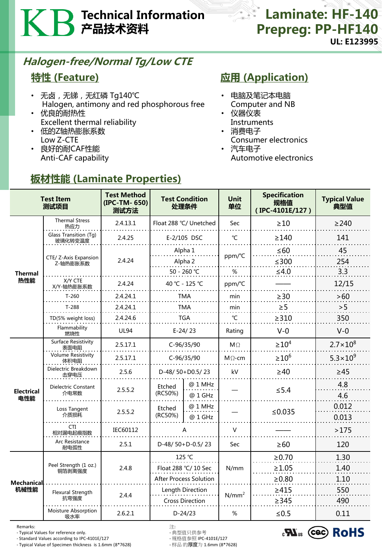# Technical Information 产品技术资料

### **Laminate: HF-140** Prepreg: PP-HF140 UL: E123995

## Halogen-free/Normal Tg/Low CTE

### 特性 (Feature)

- 无卤, 无锑, 无红磷 Tg140℃ Halogen, antimony and red phosphorous free
- 优良的耐热性 Excellent thermal reliability
- 低的Z轴热膨胀系数 Low Z-CTE
- 良好的耐CAF性能 Anti-CAF capability

## **应用 (Application)**

- 电脑及笔记本电脑 Computer and NB
- 仪器仪表
- Instruments • 消费电子
- Consumer electronics
- 汽车电子 Automotive electronics

| <b>Test Item</b><br>测试项目 |                                   | <b>Test Method</b><br>(IPC-TM-650)<br>测试方法 | <b>Test Condition</b><br>处理条件              |                    | <b>Unit</b><br>单位 | <b>Specification</b><br>规格值<br>(IPC-4101E/127) | <b>Typical Value</b><br>典型值 |
|--------------------------|-----------------------------------|--------------------------------------------|--------------------------------------------|--------------------|-------------------|------------------------------------------------|-----------------------------|
| <b>Thermal</b><br>热性能    | <b>Thermal Stress</b><br>热应力      | 2.4.13.1                                   | Float 288 °C/ Unetched                     |                    | Sec               | $\geq 10$                                      | $\geq$ 240                  |
|                          | Glass Transition (Tg)<br>玻璃化转变温度  | 2.4.25                                     | E-2/105 DSC                                |                    | °C                | $\geq$ 140                                     | 141                         |
|                          | CTE/ Z-Axis Expansion<br>Z-轴热膨胀系数 | 2.4.24                                     |                                            | Alpha 1<br>Alpha 2 |                   | $\leq 60$<br>$≤300$                            | 45<br>254                   |
|                          | X/Y CTE<br>X/Y-轴热膨胀系数             | 2.4.24                                     | 50 - 260 °C<br>40 °C - 125 °C              |                    | $\%$<br>ppm/°C    | $\leq 4.0$                                     | 3.3<br>12/15                |
|                          | $T-260$                           | 2.4.24.1                                   | <b>TMA</b>                                 |                    | min               | $\geq$ 30                                      | >60                         |
|                          | $T-288$                           | 2.4.24.1                                   | <b>TMA</b>                                 |                    | min               | $\geq 5$                                       | > 5                         |
|                          | TD(5% weight loss)                | 2.4.24.6                                   | <b>TGA</b>                                 |                    | °C                | $\geq$ 310                                     | 350                         |
|                          | Flammability<br>燃烧性               | <b>UL94</b>                                | $E-24/23$                                  |                    | Rating            | $V-0$                                          | $V-0$                       |
| <b>Electrical</b><br>电性能 | Surface Resistivity<br>表面电阻       | 2.5.17.1                                   | C-96/35/90                                 |                    | $M\Omega$         | $\geq 10^4$                                    | $2.7 \times 10^{8}$         |
|                          | <b>Volume Resistivity</b><br>体积电阻 | 2.5.17.1                                   | C-96/35/90                                 |                    | $M\Omega$ -cm     | $\geq 10^6$                                    | $5.3 \times 10^{9}$         |
|                          | Dielectric Breakdown<br>击穿电压      | 2.5.6                                      | D-48/50+D0.5/23                            |                    | kV                | $\geq 40$                                      | ≥45                         |
|                          | Dielectric Constant<br>介电常数       | 2.5.5.2                                    | <b>Etched</b><br>(RC50%)                   | @ 1 MHz<br>@ 1 GHz |                   | $\leq 5.4$                                     | 4.8<br>4.6                  |
|                          | Loss Tangent<br>介质损耗              | 2.5.5.2                                    | Etched<br>(RC50%)                          | @ 1 MHz<br>@ 1 GHz |                   | ≤ $0.035$                                      | 0.012<br>0.013              |
|                          | <b>CTI</b><br>相对漏电起痕指数            | IEC60112                                   | А                                          |                    | V                 |                                                | >175                        |
|                          | Arc Resistance<br>耐电弧性            | 2.5.1                                      | D-48/50+D-0.5/23                           |                    | Sec               | $\geq 60$                                      | 120                         |
| Mechanical<br>机械性能       | Peel Strength (1 oz.)<br>铜箔剥离强度   | 2.4.8                                      | 125 °C<br>Float 288 °C/ 10 Sec             |                    | N/mm              | $\ge 0.70$                                     | 1.30                        |
|                          |                                   |                                            |                                            |                    |                   | $\geq 1.05$                                    | 1.40                        |
|                          |                                   |                                            | <b>After Process Solution</b>              |                    |                   | $\geq 0.80$                                    | 1.10                        |
|                          | Flexural Strength<br>抗弯强度         | 2.4.4                                      | Length Direction<br><b>Cross Direction</b> |                    | $N/mm^2$          | $\geq 415$<br>$\geq$ 345                       | 550<br>490                  |
|                          | Moisture Absorption<br>吸水率        | 2.6.2.1                                    | $D-24/23$                                  |                    | %                 | $≤0.5$                                         | 0.11                        |

## 板材性能 (Laminate Properties)

Remarks: 注:

- Typical Values for reference only. - 典型值只供参考

- Standard Values according to IPC-4101E/127 - 规格值参照 IPC-4101E/127 - Typical Value of Specimen thickness is 1.6mm (8\*7628)